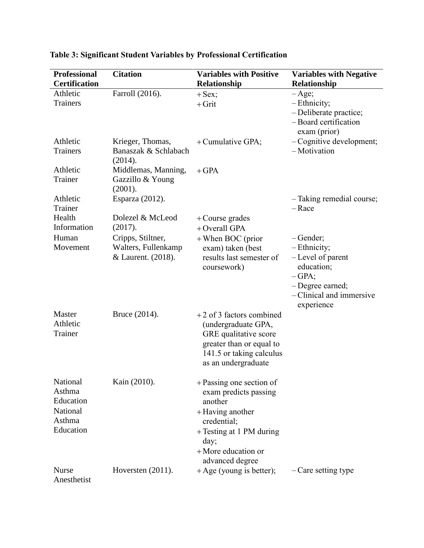| <b>Professional</b><br><b>Certification</b>                        | <b>Citation</b>                                                | <b>Variables with Positive</b><br>Relationship                                                                                                                                    | <b>Variables with Negative</b><br>Relationship                                                                                          |
|--------------------------------------------------------------------|----------------------------------------------------------------|-----------------------------------------------------------------------------------------------------------------------------------------------------------------------------------|-----------------------------------------------------------------------------------------------------------------------------------------|
| Athletic<br><b>Trainers</b>                                        | Farroll (2016).                                                | $+$ Sex;<br>$+$ Grit                                                                                                                                                              | $-Age;$<br>- Ethnicity;<br>- Deliberate practice;<br>- Board certification<br>exam (prior)                                              |
| Athletic<br><b>Trainers</b>                                        | Krieger, Thomas,<br>Banaszak & Schlabach<br>(2014).            | + Cumulative GPA;                                                                                                                                                                 | $-C$ ognitive development;<br>- Motivation                                                                                              |
| Athletic<br>Trainer                                                | Middlemas, Manning,<br>Gazzillo & Young<br>(2001).             | $+$ GPA                                                                                                                                                                           |                                                                                                                                         |
| Athletic<br>Trainer                                                | Esparza (2012).                                                |                                                                                                                                                                                   | - Taking remedial course;<br>$-$ Race                                                                                                   |
| Health<br>Information                                              | Dolezel & McLeod<br>(2017).                                    | $+$ Course grades<br>+ Overall GPA                                                                                                                                                |                                                                                                                                         |
| Human<br>Movement                                                  | Cripps, Stiltner,<br>Walters, Fullenkamp<br>& Laurent. (2018). | $+$ When BOC (prior<br>exam) taken (best<br>results last semester of<br>coursework)                                                                                               | $-$ Gender;<br>- Ethnicity;<br>- Level of parent<br>education;<br>$-GPA;$<br>- Degree earned;<br>- Clinical and immersive<br>experience |
| Master<br>Athletic<br>Trainer                                      | Bruce (2014).                                                  | $+2$ of 3 factors combined<br>(undergraduate GPA,<br>GRE qualitative score<br>greater than or equal to<br>141.5 or taking calculus<br>as an undergraduate                         |                                                                                                                                         |
| National<br>Asthma<br>Education<br>National<br>Asthma<br>Education | Kain (2010).                                                   | $+$ Passing one section of<br>exam predicts passing<br>another<br>+ Having another<br>credential;<br>+ Testing at 1 PM during<br>day;<br>$+$ More education or<br>advanced degree |                                                                                                                                         |
| <b>Nurse</b><br>Anesthetist                                        | Hoversten $(2011)$ .                                           | $+A$ ge (young is better);                                                                                                                                                        | - Care setting type                                                                                                                     |

## **Table 3: Significant Student Variables by Professional Certification**